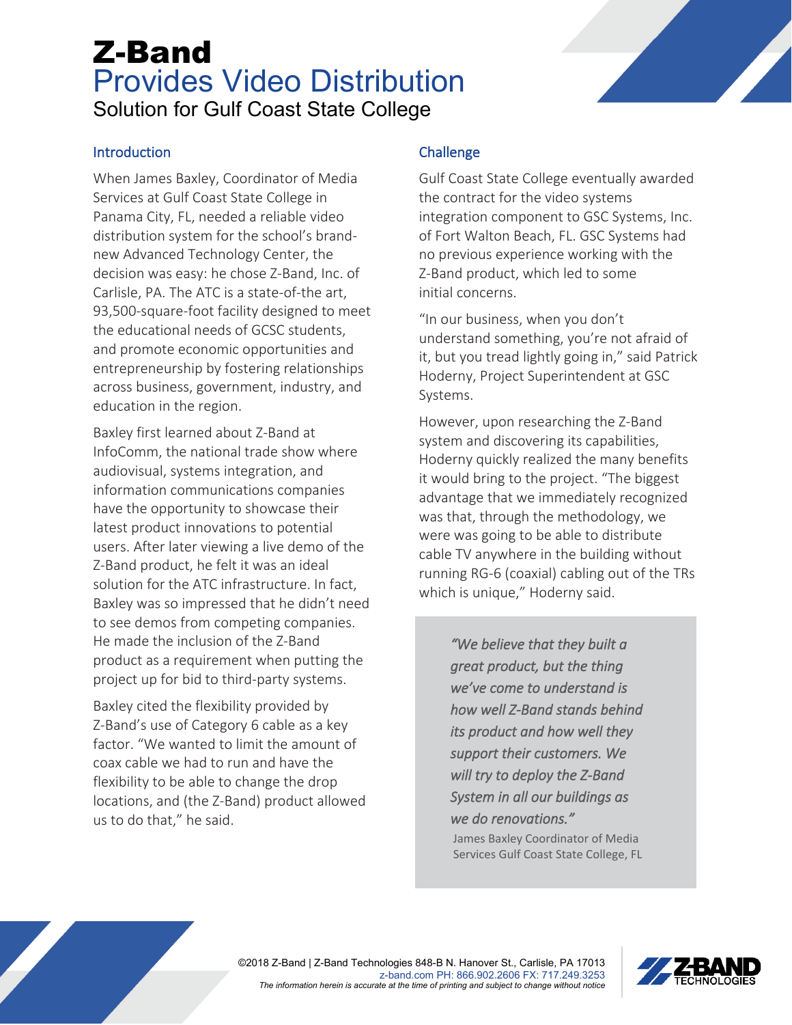## Z-Band Provides Video Distribution Solution for Gulf Coast State College

#### **Introduction**

When James Baxley, Coordinator of Media Services at Gulf Coast State College in Panama City, FL, needed a reliable video distribution system for the school's brandnew Advanced Technology Center, the decision was easy: he chose Z-Band, Inc. of Carlisle, PA. The ATC is a state-of-the art, 93,500-square-foot facility designed to meet the educational needs of GCSC students, and promote economic opportunities and entrepreneurship by fostering relationships across business, government, industry, and education in the region.

Baxley first learned about Z-Band at InfoComm, the national trade show where audiovisual, systems integration, and information communications companies have the opportunity to showcase their latest product innovations to potential users. After later viewing a live demo of the Z-Band product, he felt it was an ideal solution for the ATC infrastructure. In fact, Baxley was so impressed that he didn't need to see demos from competing companies. He made the inclusion of the Z-Band product as a requirement when putting the project up for bid to third-party systems.

Baxley cited the flexibility provided by Z-Band's use of Category 6 cable as a key factor. "We wanted to limit the amount of coax cable we had to run and have the flexibility to be able to change the drop locations, and (the Z-Band) product allowed us to do that," he said.

### **Challenge**

Gulf Coast State College eventually awarded the contract for the video systems integration component to GSC Systems, Inc. of Fort Walton Beach, FL. GSC Systems had no previous experience working with the Z-Band product, which led to some initial concerns.

"In our business, when you don't understand something, you're not afraid of it, but you tread lightly going in," said Patrick Hoderny, Project Superintendent at GSC Systems.

However, upon researching the Z-Band system and discovering its capabilities, Hoderny quickly realized the many benefits it would bring to the project. "The biggest advantage that we immediately recognized was that, through the methodology, we were was going to be able to distribute cable TV anywhere in the building without running RG-6 (coaxial) cabling out of the TRs which is unique," Hoderny said.

> *"We believe that they built a great product, but the thing we've come to understand is how well Z-Band stands behind its product and how well they support their customers. We will try to deploy the Z-Band System in all our buildings as we do renovations."*

> James Baxley Coordinator of Media Services Gulf Coast State College, FL



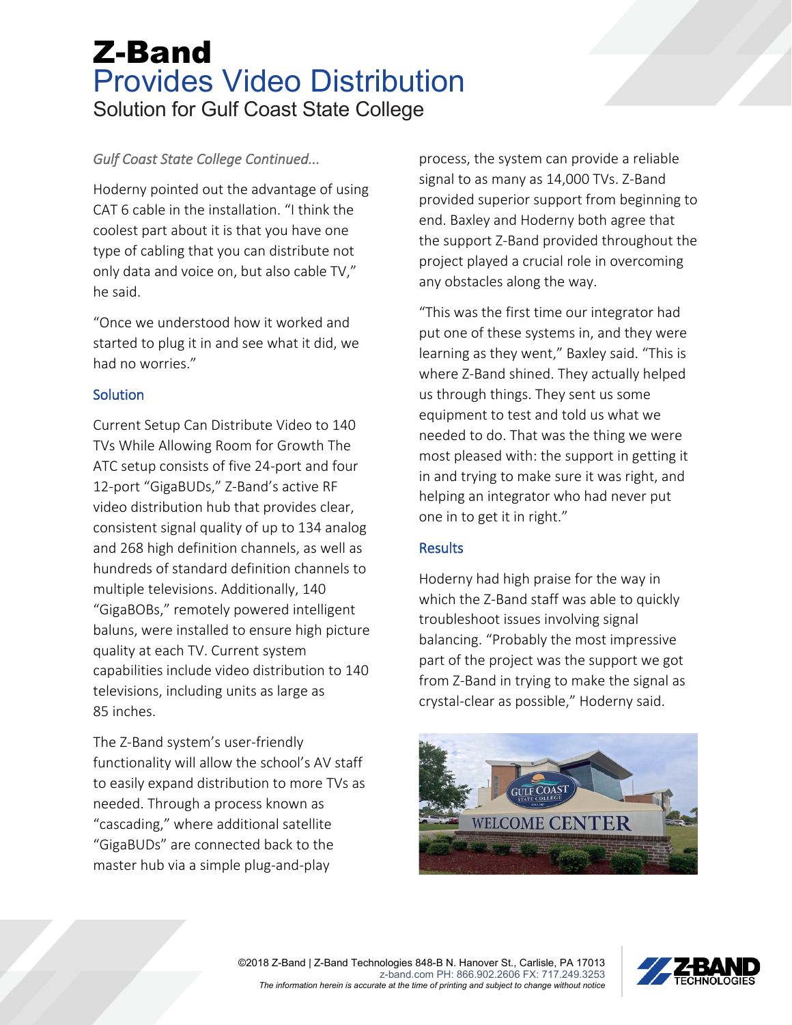# Z-Band Provides Video Distribution Solution for Gulf Coast State College

## *Gulf Coast State College Continued...*

Hoderny pointed out the advantage of using CAT 6 cable in the installation. "I think the coolest part about it is that you have one type of cabling that you can distribute not only data and voice on, but also cable TV," he said.

"Once we understood how it worked and started to plug it in and see what it did, we had no worries."

#### **Solution**

Current Setup Can Distribute Video to 140 TVs While Allowing Room for Growth The ATC setup consists of five 24-port and four 12-port "GigaBUDs," Z-Band's active RF video distribution hub that provides clear, consistent signal quality of up to 134 analog and 268 high definition channels, as well as hundreds of standard definition channels to multiple televisions. Additionally, 140 "GigaBOBs," remotely powered intelligent baluns, were installed to ensure high picture quality at each TV. Current system capabilities include video distribution to 140 televisions, including units as large as 85 inches.

The Z-Band system's user-friendly functionality will allow the school's AV staff to easily expand distribution to more TVs as needed. Through a process known as "cascading," where additional satellite "GigaBUDs" are connected back to the master hub via a simple plug-and-play

process, the system can provide a reliable signal to as many as 14,000 TVs. Z-Band provided superior support from beginning to end. Baxley and Hoderny both agree that the support Z-Band provided throughout the project played a crucial role in overcoming any obstacles along the way.

"This was the first time our integrator had put one of these systems in, and they were learning as they went," Baxley said. "This is where Z-Band shined. They actually helped us through things. They sent us some equipment to test and told us what we needed to do. That was the thing we were most pleased with: the support in getting it in and trying to make sure it was right, and helping an integrator who had never put one in to get it in right."

## **Results**

Hoderny had high praise for the way in which the Z-Band staff was able to quickly troubleshoot issues involving signal balancing. "Probably the most impressive part of the project was the support we got from Z-Band in trying to make the signal as crystal-clear as possible," Hoderny said.